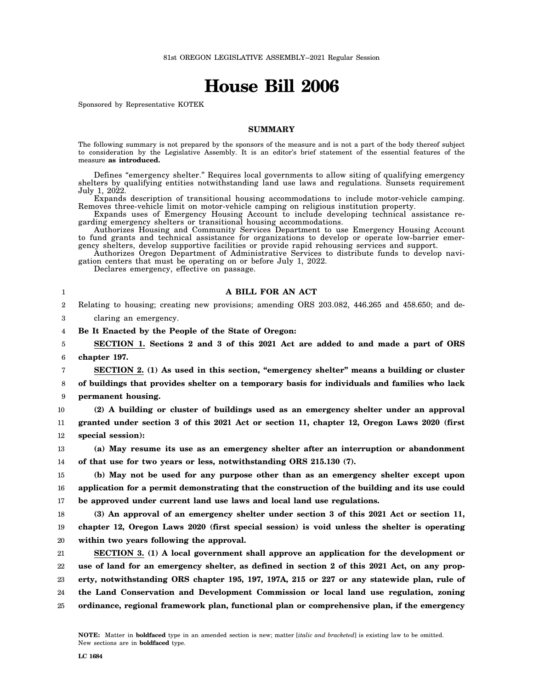# **House Bill 2006**

Sponsored by Representative KOTEK

## **SUMMARY**

The following summary is not prepared by the sponsors of the measure and is not a part of the body thereof subject to consideration by the Legislative Assembly. It is an editor's brief statement of the essential features of the measure **as introduced.**

Defines "emergency shelter." Requires local governments to allow siting of qualifying emergency shelters by qualifying entities notwithstanding land use laws and regulations. Sunsets requirement July 1, 2022.

Expands description of transitional housing accommodations to include motor-vehicle camping. Removes three-vehicle limit on motor-vehicle camping on religious institution property.

Expands uses of Emergency Housing Account to include developing technical assistance regarding emergency shelters or transitional housing accommodations.

Authorizes Housing and Community Services Department to use Emergency Housing Account to fund grants and technical assistance for organizations to develop or operate low-barrier emergency shelters, develop supportive facilities or provide rapid rehousing services and support.

Authorizes Oregon Department of Administrative Services to distribute funds to develop navigation centers that must be operating on or before July 1, 2022.

Declares emergency, effective on passage.

| A BILL FOR AN ACT                                                                                |  |
|--------------------------------------------------------------------------------------------------|--|
| Relating to housing; creating new provisions; amending ORS 203.082, 446.265 and 458.650; and de- |  |
| claring an emergency.                                                                            |  |
| Be It Enacted by the People of the State of Oregon:                                              |  |
| SECTION 1. Sections 2 and 3 of this 2021 Act are added to and made a part of ORS                 |  |
| chapter 197.                                                                                     |  |
| SECTION 2. (1) As used in this section, "emergency shelter" means a building or cluster          |  |
| of buildings that provides shelter on a temporary basis for individuals and families who lack    |  |
| permanent housing.                                                                               |  |
| (2) A building or cluster of buildings used as an emergency shelter under an approval            |  |
| granted under section 3 of this 2021 Act or section 11, chapter 12, Oregon Laws 2020 (first      |  |
| special session):                                                                                |  |
| (a) May resume its use as an emergency shelter after an interruption or abandonment              |  |
| of that use for two years or less, notwithstanding ORS 215.130 (7).                              |  |
| (b) May not be used for any purpose other than as an emergency shelter except upon               |  |
| application for a permit demonstrating that the construction of the building and its use could   |  |
| be approved under current land use laws and local land use regulations.                          |  |
| (3) An approval of an emergency shelter under section 3 of this 2021 Act or section 11,          |  |
| chapter 12, Oregon Laws 2020 (first special session) is void unless the shelter is operating     |  |
| within two years following the approval.                                                         |  |
| SECTION 3. (1) A local government shall approve an application for the development or            |  |
| use of land for an emergency shelter, as defined in section 2 of this 2021 Act, on any prop-     |  |
| erty, notwithstanding ORS chapter 195, 197, 197A, 215 or 227 or any statewide plan, rule of      |  |
| the Land Conservation and Development Commission or local land use regulation, zoning            |  |
| ordinance, regional framework plan, functional plan or comprehensive plan, if the emergency      |  |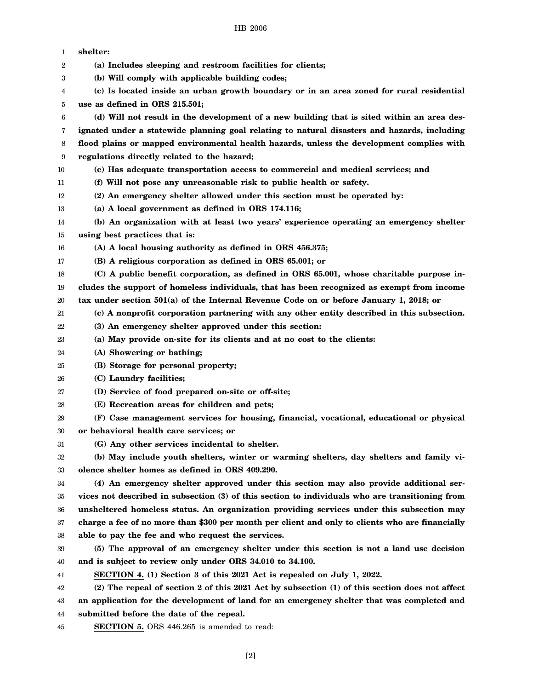| 1      | shelter:                                                                                        |
|--------|-------------------------------------------------------------------------------------------------|
| 2      | (a) Includes sleeping and restroom facilities for clients;                                      |
| 3      | (b) Will comply with applicable building codes;                                                 |
| 4      | (c) Is located inside an urban growth boundary or in an area zoned for rural residential        |
| 5      | use as defined in ORS 215.501;                                                                  |
| 6      | (d) Will not result in the development of a new building that is sited within an area des-      |
| 7      | ignated under a statewide planning goal relating to natural disasters and hazards, including    |
| 8      | flood plains or mapped environmental health hazards, unless the development complies with       |
| 9      | regulations directly related to the hazard;                                                     |
| 10     | (e) Has adequate transportation access to commercial and medical services; and                  |
| 11     | (f) Will not pose any unreasonable risk to public health or safety.                             |
| 12     | (2) An emergency shelter allowed under this section must be operated by:                        |
| 13     | (a) A local government as defined in ORS 174.116;                                               |
| 14     | (b) An organization with at least two years' experience operating an emergency shelter          |
| 15     | using best practices that is:                                                                   |
| 16     | (A) A local housing authority as defined in ORS 456.375;                                        |
| 17     | (B) A religious corporation as defined in ORS 65.001; or                                        |
| 18     | (C) A public benefit corporation, as defined in ORS 65.001, whose charitable purpose in-        |
| 19     | cludes the support of homeless individuals, that has been recognized as exempt from income      |
| 20     | tax under section $501(a)$ of the Internal Revenue Code on or before January 1, 2018; or        |
| 21     | (c) A nonprofit corporation partnering with any other entity described in this subsection.      |
| 22     | (3) An emergency shelter approved under this section:                                           |
| 23     | (a) May provide on-site for its clients and at no cost to the clients:                          |
| 24     | (A) Showering or bathing;                                                                       |
| 25     | (B) Storage for personal property;                                                              |
| 26     | (C) Laundry facilities;                                                                         |
| 27     | (D) Service of food prepared on-site or off-site;                                               |
| 28     | (E) Recreation areas for children and pets;                                                     |
| 29     | (F) Case management services for housing, financial, vocational, educational or physical        |
| $30\,$ | or behavioral health care services; or                                                          |
| 31     | (G) Any other services incidental to shelter.                                                   |
| 32     | (b) May include youth shelters, winter or warming shelters, day shelters and family vi-         |
| 33     | olence shelter homes as defined in ORS 409.290.                                                 |
| 34     | (4) An emergency shelter approved under this section may also provide additional ser-           |
| 35     | vices not described in subsection (3) of this section to individuals who are transitioning from |
| 36     | unsheltered homeless status. An organization providing services under this subsection may       |
| 37     | charge a fee of no more than \$300 per month per client and only to clients who are financially |
| 38     | able to pay the fee and who request the services.                                               |
| 39     | (5) The approval of an emergency shelter under this section is not a land use decision          |
| 40     | and is subject to review only under ORS 34.010 to 34.100.                                       |
| 41     | SECTION 4. (1) Section 3 of this 2021 Act is repealed on July 1, 2022.                          |
| 42     | (2) The repeal of section 2 of this 2021 Act by subsection (1) of this section does not affect  |
| 43     | an application for the development of land for an emergency shelter that was completed and      |
| 44     | submitted before the date of the repeal.                                                        |
| 45     | <b>SECTION 5.</b> ORS 446.265 is amended to read:                                               |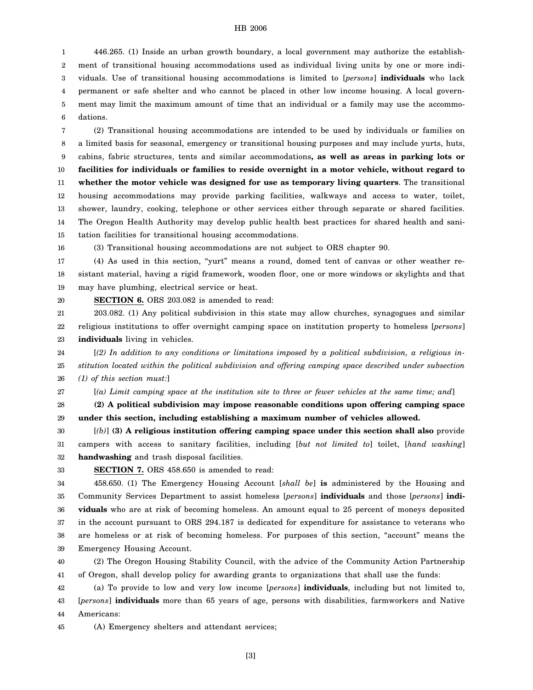#### HB 2006

1 2 3 4 5 6 446.265. (1) Inside an urban growth boundary, a local government may authorize the establishment of transitional housing accommodations used as individual living units by one or more individuals. Use of transitional housing accommodations is limited to [*persons*] **individuals** who lack permanent or safe shelter and who cannot be placed in other low income housing. A local government may limit the maximum amount of time that an individual or a family may use the accommodations.

7 8 9 10 11 12 13 14 15 (2) Transitional housing accommodations are intended to be used by individuals or families on a limited basis for seasonal, emergency or transitional housing purposes and may include yurts, huts, cabins, fabric structures, tents and similar accommodations**, as well as areas in parking lots or facilities for individuals or families to reside overnight in a motor vehicle, without regard to whether the motor vehicle was designed for use as temporary living quarters**. The transitional housing accommodations may provide parking facilities, walkways and access to water, toilet, shower, laundry, cooking, telephone or other services either through separate or shared facilities. The Oregon Health Authority may develop public health best practices for shared health and sanitation facilities for transitional housing accommodations.

16

20

27

(3) Transitional housing accommodations are not subject to ORS chapter 90.

17 18 19 (4) As used in this section, "yurt" means a round, domed tent of canvas or other weather resistant material, having a rigid framework, wooden floor, one or more windows or skylights and that may have plumbing, electrical service or heat.

**SECTION 6.** ORS 203.082 is amended to read:

21 22 23 203.082. (1) Any political subdivision in this state may allow churches, synagogues and similar religious institutions to offer overnight camping space on institution property to homeless [*persons*] **individuals** living in vehicles.

24 25 26 [*(2) In addition to any conditions or limitations imposed by a political subdivision, a religious institution located within the political subdivision and offering camping space described under subsection (1) of this section must:*]

[*(a) Limit camping space at the institution site to three or fewer vehicles at the same time; and*]

28 29 **(2) A political subdivision may impose reasonable conditions upon offering camping space under this section, including establishing a maximum number of vehicles allowed.**

30 31 32 [*(b)*] **(3) A religious institution offering camping space under this section shall also** provide campers with access to sanitary facilities, including [*but not limited to*] toilet, [*hand washing*] **handwashing** and trash disposal facilities.

33

**SECTION 7.** ORS 458.650 is amended to read:

34 35 36 37 38 39 458.650. (1) The Emergency Housing Account [*shall be*] **is** administered by the Housing and Community Services Department to assist homeless [*persons*] **individuals** and those [*persons*] **individuals** who are at risk of becoming homeless. An amount equal to 25 percent of moneys deposited in the account pursuant to ORS 294.187 is dedicated for expenditure for assistance to veterans who are homeless or at risk of becoming homeless. For purposes of this section, "account" means the Emergency Housing Account.

40 41 (2) The Oregon Housing Stability Council, with the advice of the Community Action Partnership of Oregon, shall develop policy for awarding grants to organizations that shall use the funds:

42 43 44 (a) To provide to low and very low income [*persons*] **individuals**, including but not limited to, [*persons*] **individuals** more than 65 years of age, persons with disabilities, farmworkers and Native Americans:

45 (A) Emergency shelters and attendant services;

[3]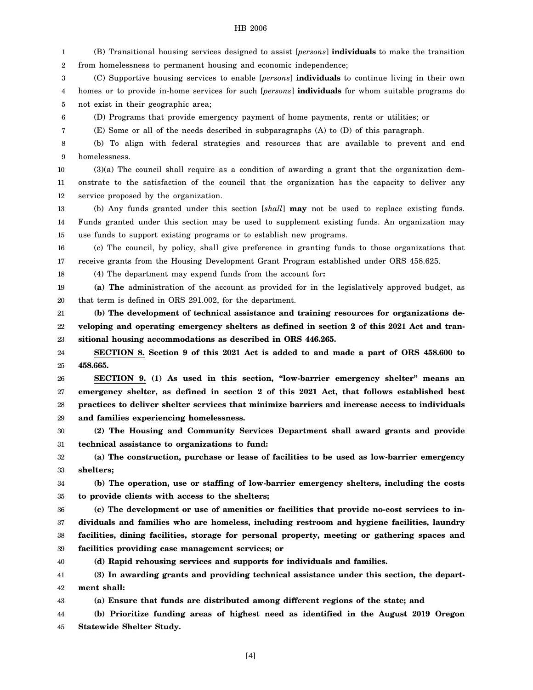#### HB 2006

1 2 (B) Transitional housing services designed to assist [*persons*] **individuals** to make the transition from homelessness to permanent housing and economic independence;

3 4 5 (C) Supportive housing services to enable [*persons*] **individuals** to continue living in their own homes or to provide in-home services for such [*persons*] **individuals** for whom suitable programs do not exist in their geographic area;

6 (D) Programs that provide emergency payment of home payments, rents or utilities; or

(E) Some or all of the needs described in subparagraphs (A) to (D) of this paragraph.

8 9 (b) To align with federal strategies and resources that are available to prevent and end homelessness.

10 11 12 (3)(a) The council shall require as a condition of awarding a grant that the organization demonstrate to the satisfaction of the council that the organization has the capacity to deliver any service proposed by the organization.

13 14 15 (b) Any funds granted under this section [*shall*] **may** not be used to replace existing funds. Funds granted under this section may be used to supplement existing funds. An organization may use funds to support existing programs or to establish new programs.

16 17 (c) The council, by policy, shall give preference in granting funds to those organizations that receive grants from the Housing Development Grant Program established under ORS 458.625.

18 (4) The department may expend funds from the account for**:**

7

19 20 **(a) The** administration of the account as provided for in the legislatively approved budget, as that term is defined in ORS 291.002, for the department.

21 22 23 **(b) The development of technical assistance and training resources for organizations developing and operating emergency shelters as defined in section 2 of this 2021 Act and transitional housing accommodations as described in ORS 446.265.**

24 25 **SECTION 8. Section 9 of this 2021 Act is added to and made a part of ORS 458.600 to 458.665.**

26 27 28 29 **SECTION 9. (1) As used in this section, "low-barrier emergency shelter" means an emergency shelter, as defined in section 2 of this 2021 Act, that follows established best practices to deliver shelter services that minimize barriers and increase access to individuals and families experiencing homelessness.**

30 31 **(2) The Housing and Community Services Department shall award grants and provide technical assistance to organizations to fund:**

32 33 **(a) The construction, purchase or lease of facilities to be used as low-barrier emergency shelters;**

34 35 **(b) The operation, use or staffing of low-barrier emergency shelters, including the costs to provide clients with access to the shelters;**

36 37 38 39 **(c) The development or use of amenities or facilities that provide no-cost services to individuals and families who are homeless, including restroom and hygiene facilities, laundry facilities, dining facilities, storage for personal property, meeting or gathering spaces and facilities providing case management services; or**

40 **(d) Rapid rehousing services and supports for individuals and families.**

41 42 **(3) In awarding grants and providing technical assistance under this section, the department shall:**

43 **(a) Ensure that funds are distributed among different regions of the state; and**

44 45 **(b) Prioritize funding areas of highest need as identified in the August 2019 Oregon Statewide Shelter Study.**